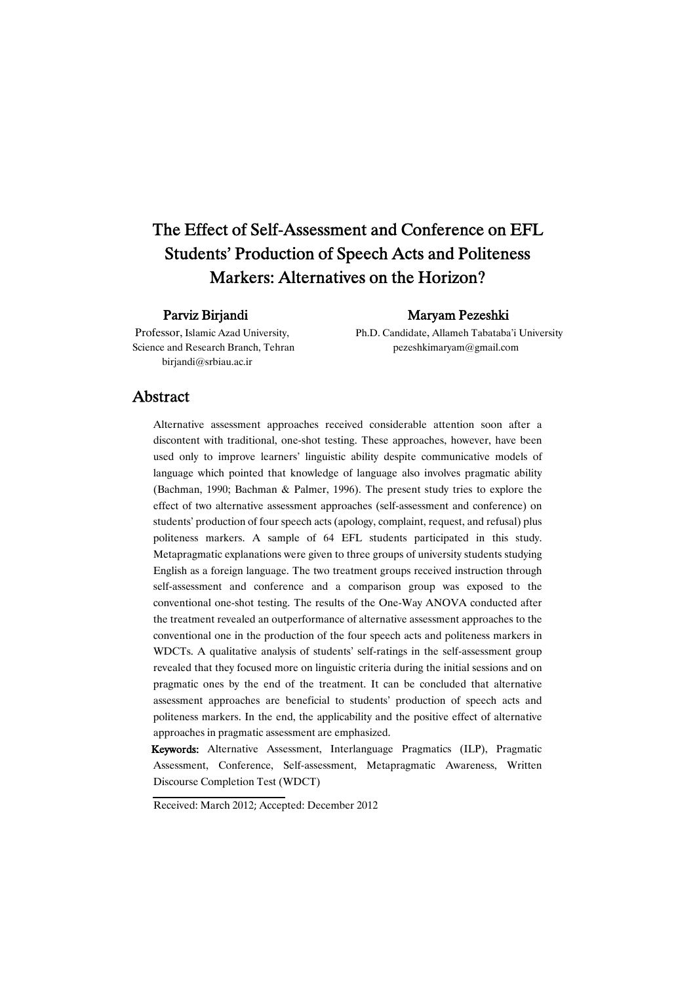# The Effect of Self-Assessment and Conference on EFL Students' Production of Speech Acts and Politeness Markers: Alternatives on the Horizon?

birjandi@srbiau.ac.ir

Parviz Birjandi Maryam Pezeshki

Professor, Islamic Azad University, Ph.D. Candidate, Allameh Tabataba'i University Science and Research Branch, Tehran pezeshkimaryam@gmail.com

### Abstract

Alternative assessment approaches received considerable attention soon after a discontent with traditional, one-shot testing. These approaches, however, have been used only to improve learners' linguistic ability despite communicative models of language which pointed that knowledge of language also involves pragmatic ability (Bachman, 1990; Bachman & Palmer, 1996). The present study tries to explore the effect of two alternative assessment approaches (self-assessment and conference) on students' production of four speech acts (apology, complaint, request, and refusal) plus politeness markers. A sample of 64 EFL students participated in this study. Metapragmatic explanations were given to three groups of university students studying English as a foreign language. The two treatment groups received instruction through self-assessment and conference and a comparison group was exposed to the conventional one-shot testing. The results of the One-Way ANOVA conducted after the treatment revealed an outperformance of alternative assessment approaches to the conventional one in the production of the four speech acts and politeness markers in WDCTs. A qualitative analysis of students' self-ratings in the self-assessment group revealed that they focused more on linguistic criteria during the initial sessions and on pragmatic ones by the end of the treatment. It can be concluded that alternative assessment approaches are beneficial to students' production of speech acts and politeness markers. In the end, the applicability and the positive effect of alternative approaches in pragmatic assessment are emphasized.

Keywords: Alternative Assessment, Interlanguage Pragmatics (ILP), Pragmatic Assessment, Conference, Self-assessment, Metapragmatic Awareness, Written Discourse Completion Test (WDCT)

Received: March 2012; Accepted: December 2012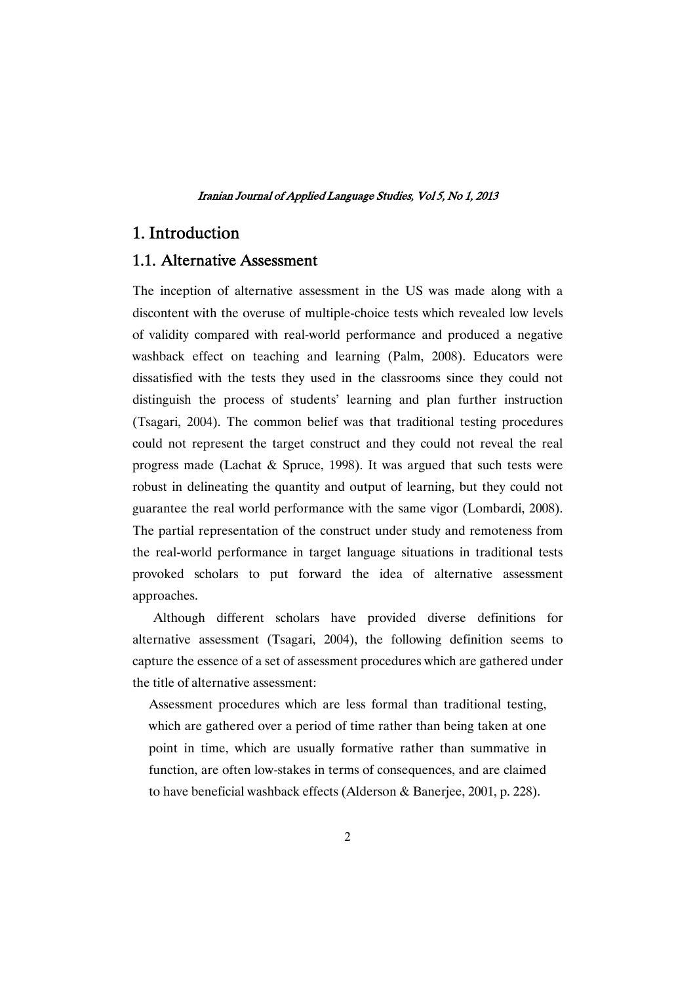### 1. Introduction

### 1.1. Alternative Assessment

The inception of alternative assessment in the US was made along with a discontent with the overuse of multiple-choice tests which revealed low levels of validity compared with real-world performance and produced a negative washback effect on teaching and learning (Palm, 2008). Educators were dissatisfied with the tests they used in the classrooms since they could not distinguish the process of students' learning and plan further instruction (Tsagari, 2004). The common belief was that traditional testing procedures could not represent the target construct and they could not reveal the real progress made (Lachat & Spruce, 1998). It was argued that such tests were robust in delineating the quantity and output of learning, but they could not guarantee the real world performance with the same vigor (Lombardi, 2008). The partial representation of the construct under study and remoteness from the real-world performance in target language situations in traditional tests provoked scholars to put forward the idea of alternative assessment approaches.

Although different scholars have provided diverse definitions for alternative assessment (Tsagari, 2004), the following definition seems to capture the essence of a set of assessment procedures which are gathered under the title of alternative assessment:

Assessment procedures which are less formal than traditional testing, which are gathered over a period of time rather than being taken at one point in time, which are usually formative rather than summative in function, are often low-stakes in terms of consequences, and are claimed to have beneficial washback effects (Alderson & Banerjee, 2001, p. 228).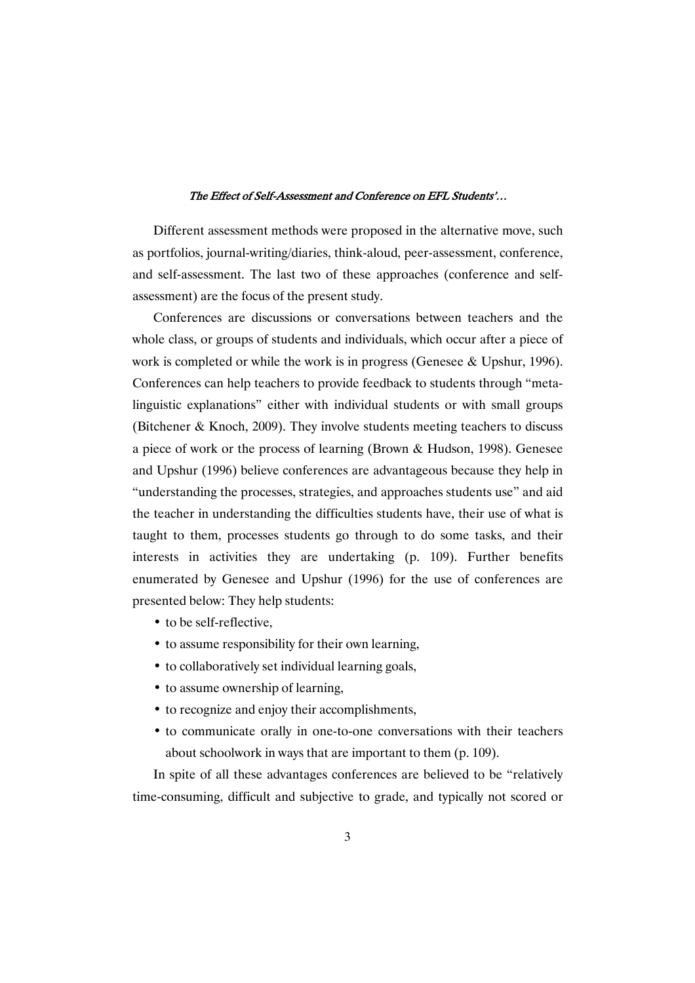Different assessment methods were proposed in the alternative move, such as portfolios, journal-writing/diaries, think-aloud, peer-assessment, conference, and self-assessment. The last two of these approaches (conference and selfassessment) are the focus of the present study.

Conferences are discussions or conversations between teachers and the whole class, or groups of students and individuals, which occur after a piece of work is completed or while the work is in progress (Genesee & Upshur, 1996). Conferences can help teachers to provide feedback to students through "metalinguistic explanations" either with individual students or with small groups (Bitchener & Knoch, 2009). They involve students meeting teachers to discuss a piece of work or the process of learning (Brown & Hudson, 1998). Genesee and Upshur (1996) believe conferences are advantageous because they help in "understanding the processes, strategies, and approaches students use" and aid the teacher in understanding the difficulties students have, their use of what is taught to them, processes students go through to do some tasks, and their interests in activities they are undertaking (p. 109). Further benefits enumerated by Genesee and Upshur (1996) for the use of conferences are presented below: They help students:

- to be self-reflective,
- to assume responsibility for their own learning,
- to collaboratively set individual learning goals,
- to assume ownership of learning,
- to recognize and enjoy their accomplishments,
- to communicate orally in one-to-one conversations with their teachers about schoolwork in ways that are important to them (p. 109).

In spite of all these advantages conferences are believed to be "relatively time-consuming, difficult and subjective to grade, and typically not scored or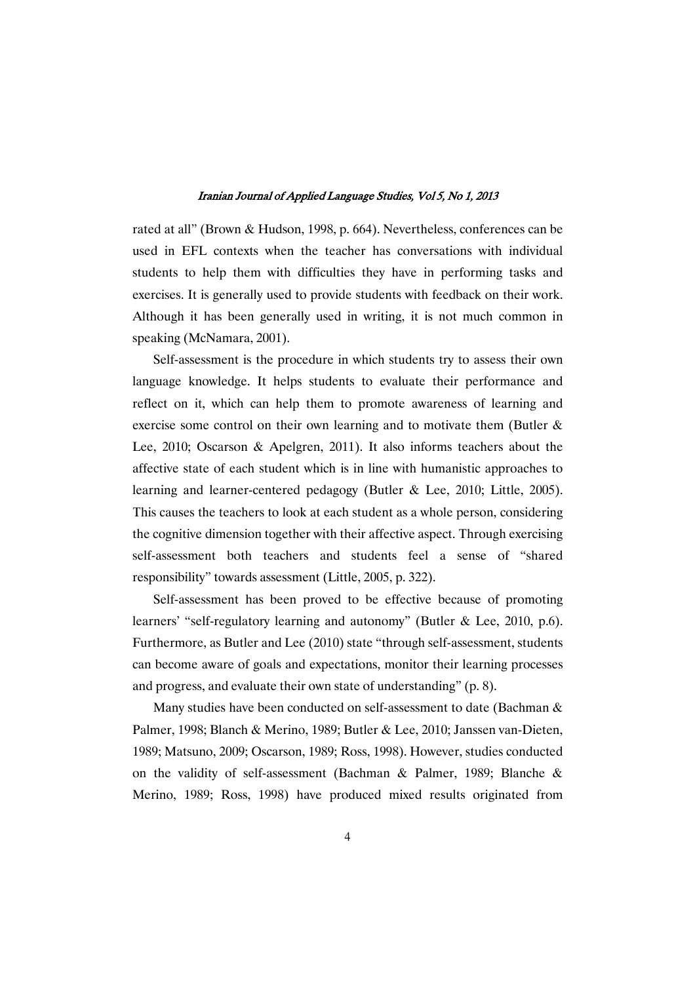rated at all" (Brown & Hudson, 1998, p. 664). Nevertheless, conferences can be used in EFL contexts when the teacher has conversations with individual students to help them with difficulties they have in performing tasks and exercises. It is generally used to provide students with feedback on their work. Although it has been generally used in writing, it is not much common in speaking (McNamara, 2001).

Self-assessment is the procedure in which students try to assess their own language knowledge. It helps students to evaluate their performance and reflect on it, which can help them to promote awareness of learning and exercise some control on their own learning and to motivate them (Butler & Lee, 2010; Oscarson & Apelgren, 2011). It also informs teachers about the affective state of each student which is in line with humanistic approaches to learning and learner-centered pedagogy (Butler & Lee, 2010; Little, 2005). This causes the teachers to look at each student as a whole person, considering the cognitive dimension together with their affective aspect. Through exercising self-assessment both teachers and students feel a sense of "shared responsibility" towards assessment (Little, 2005, p. 322).

Self-assessment has been proved to be effective because of promoting learners' "self-regulatory learning and autonomy" (Butler & Lee, 2010, p.6). Furthermore, as Butler and Lee (2010) state "through self-assessment, students can become aware of goals and expectations, monitor their learning processes and progress, and evaluate their own state of understanding" (p. 8).

Many studies have been conducted on self-assessment to date (Bachman & Palmer, 1998; Blanch & Merino, 1989; Butler & Lee, 2010; Janssen van-Dieten, 1989; Matsuno, 2009; Oscarson, 1989; Ross, 1998). However, studies conducted on the validity of self-assessment (Bachman & Palmer, 1989; Blanche & Merino, 1989; Ross, 1998) have produced mixed results originated from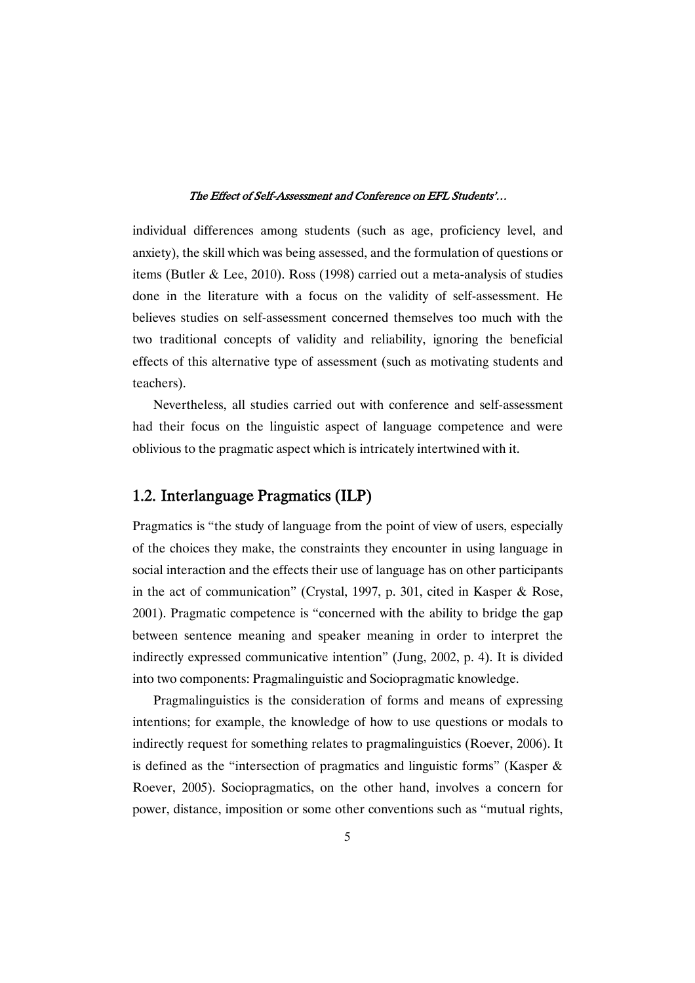individual differences among students (such as age, proficiency level, and anxiety), the skill which was being assessed, and the formulation of questions or items (Butler & Lee, 2010). Ross (1998) carried out a meta-analysis of studies done in the literature with a focus on the validity of self-assessment. He believes studies on self-assessment concerned themselves too much with the two traditional concepts of validity and reliability, ignoring the beneficial effects of this alternative type of assessment (such as motivating students and teachers).

Nevertheless, all studies carried out with conference and self-assessment had their focus on the linguistic aspect of language competence and were oblivious to the pragmatic aspect which is intricately intertwined with it.

### 1.2. Interlanguage Pragmatics (ILP)

Pragmatics is "the study of language from the point of view of users, especially of the choices they make, the constraints they encounter in using language in social interaction and the effects their use of language has on other participants in the act of communication" (Crystal, 1997, p. 301, cited in Kasper & Rose, 2001). Pragmatic competence is "concerned with the ability to bridge the gap between sentence meaning and speaker meaning in order to interpret the indirectly expressed communicative intention" (Jung, 2002, p. 4). It is divided into two components: Pragmalinguistic and Sociopragmatic knowledge.

Pragmalinguistics is the consideration of forms and means of expressing intentions; for example, the knowledge of how to use questions or modals to indirectly request for something relates to pragmalinguistics (Roever, 2006). It is defined as the "intersection of pragmatics and linguistic forms" (Kasper & Roever, 2005). Sociopragmatics, on the other hand, involves a concern for power, distance, imposition or some other conventions such as "mutual rights,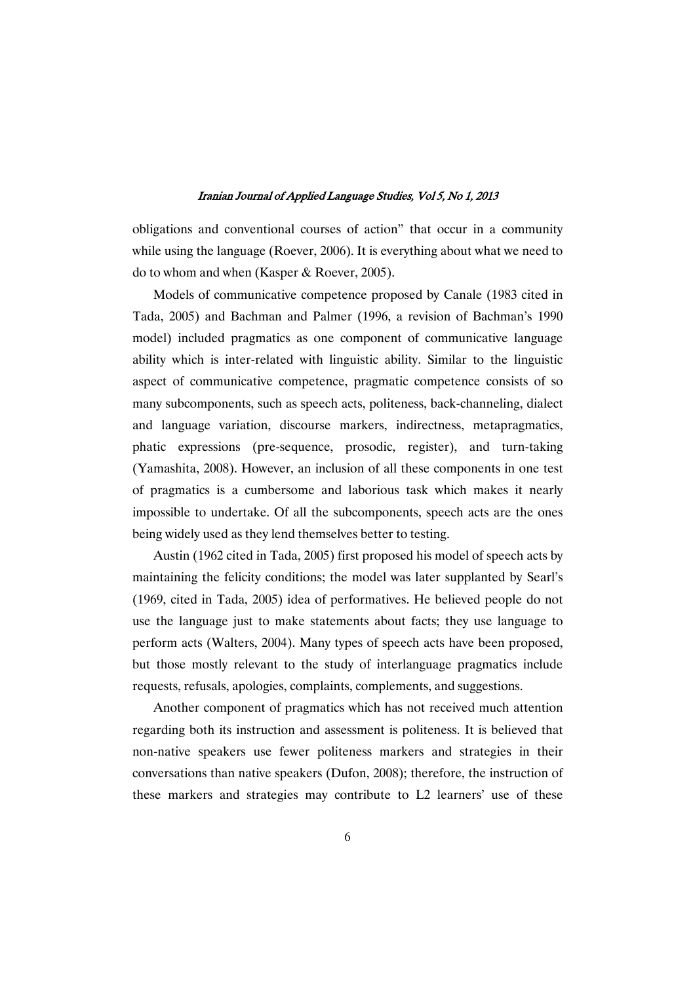obligations and conventional courses of action" that occur in a community while using the language (Roever, 2006). It is everything about what we need to do to whom and when (Kasper & Roever, 2005).

Models of communicative competence proposed by Canale (1983 cited in Tada, 2005) and Bachman and Palmer (1996, a revision of Bachman's 1990 model) included pragmatics as one component of communicative language ability which is inter-related with linguistic ability. Similar to the linguistic aspect of communicative competence, pragmatic competence consists of so many subcomponents, such as speech acts, politeness, back-channeling, dialect and language variation, discourse markers, indirectness, metapragmatics, phatic expressions (pre-sequence, prosodic, register), and turn-taking (Yamashita, 2008). However, an inclusion of all these components in one test of pragmatics is a cumbersome and laborious task which makes it nearly impossible to undertake. Of all the subcomponents, speech acts are the ones being widely used as they lend themselves better to testing.

Austin (1962 cited in Tada, 2005) first proposed his model of speech acts by maintaining the felicity conditions; the model was later supplanted by Searl's (1969, cited in Tada, 2005) idea of performatives. He believed people do not use the language just to make statements about facts; they use language to perform acts (Walters, 2004). Many types of speech acts have been proposed, but those mostly relevant to the study of interlanguage pragmatics include requests, refusals, apologies, complaints, complements, and suggestions.

Another component of pragmatics which has not received much attention regarding both its instruction and assessment is politeness. It is believed that non-native speakers use fewer politeness markers and strategies in their conversations than native speakers (Dufon, 2008); therefore, the instruction of these markers and strategies may contribute to L2 learners' use of these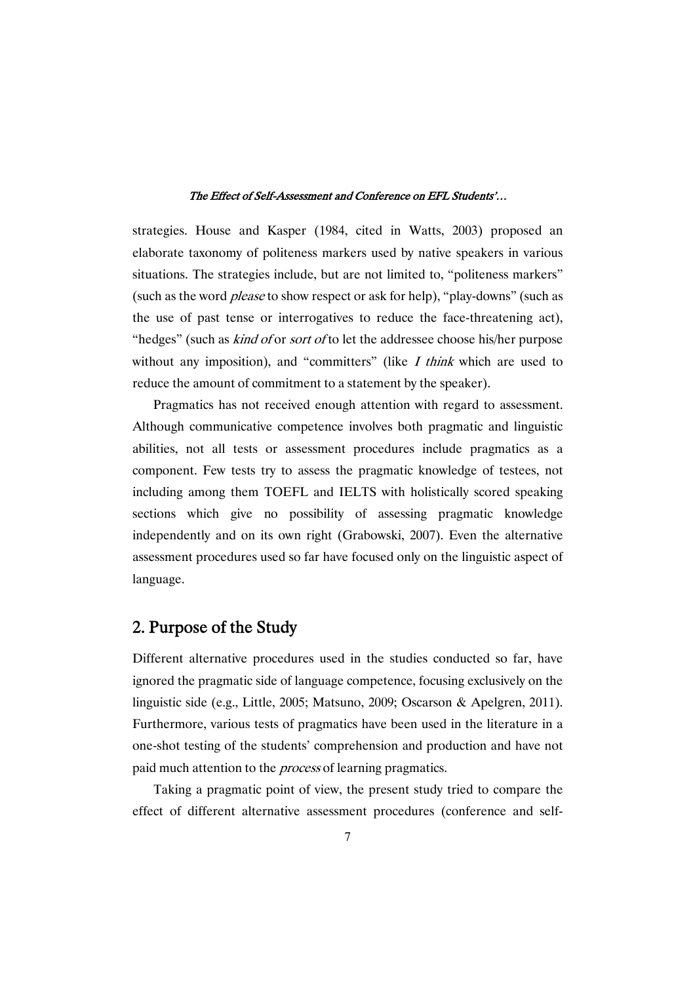strategies. House and Kasper (1984, cited in Watts, 2003) proposed an elaborate taxonomy of politeness markers used by native speakers in various situations. The strategies include, but are not limited to, "politeness markers" (such as the word please to show respect or ask for help), "play-downs" (such as the use of past tense or interrogatives to reduce the face-threatening act), "hedges" (such as *kind of or sort of to let the addressee choose his/her purpose* without any imposition), and "committers" (like  $I$  think which are used to reduce the amount of commitment to a statement by the speaker).

Pragmatics has not received enough attention with regard to assessment. Although communicative competence involves both pragmatic and linguistic abilities, not all tests or assessment procedures include pragmatics as a component. Few tests try to assess the pragmatic knowledge of testees, not including among them TOEFL and IELTS with holistically scored speaking sections which give no possibility of assessing pragmatic knowledge independently and on its own right (Grabowski, 2007). Even the alternative assessment procedures used so far have focused only on the linguistic aspect of language.

### 2. Purpose of the Study

Different alternative procedures used in the studies conducted so far, have ignored the pragmatic side of language competence, focusing exclusively on the linguistic side (e.g., Little, 2005; Matsuno, 2009; Oscarson & Apelgren, 2011). Furthermore, various tests of pragmatics have been used in the literature in a one-shot testing of the students' comprehension and production and have not paid much attention to the *process* of learning pragmatics.

Taking a pragmatic point of view, the present study tried to compare the effect of different alternative assessment procedures (conference and self-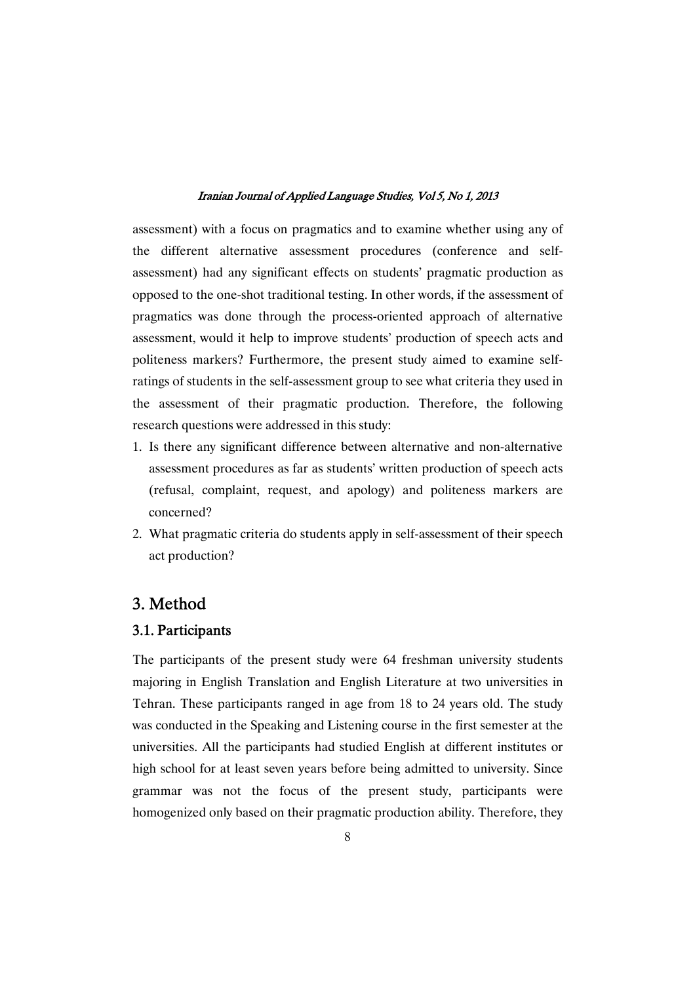assessment) with a focus on pragmatics and to examine whether using any of the different alternative assessment procedures (conference and selfassessment) had any significant effects on students' pragmatic production as opposed to the one-shot traditional testing. In other words, if the assessment of pragmatics was done through the process-oriented approach of alternative assessment, would it help to improve students' production of speech acts and politeness markers? Furthermore, the present study aimed to examine selfratings of students in the self-assessment group to see what criteria they used in the assessment of their pragmatic production. Therefore, the following research questions were addressed in this study:

- 1. Is there any significant difference between alternative and non-alternative assessment procedures as far as students' written production of speech acts (refusal, complaint, request, and apology) and politeness markers are concerned?
- 2. What pragmatic criteria do students apply in self-assessment of their speech act production?

### 3. Method

### 3.1. Participants

The participants of the present study were 64 freshman university students majoring in English Translation and English Literature at two universities in Tehran. These participants ranged in age from 18 to 24 years old. The study was conducted in the Speaking and Listening course in the first semester at the universities. All the participants had studied English at different institutes or high school for at least seven years before being admitted to university. Since grammar was not the focus of the present study, participants were homogenized only based on their pragmatic production ability. Therefore, they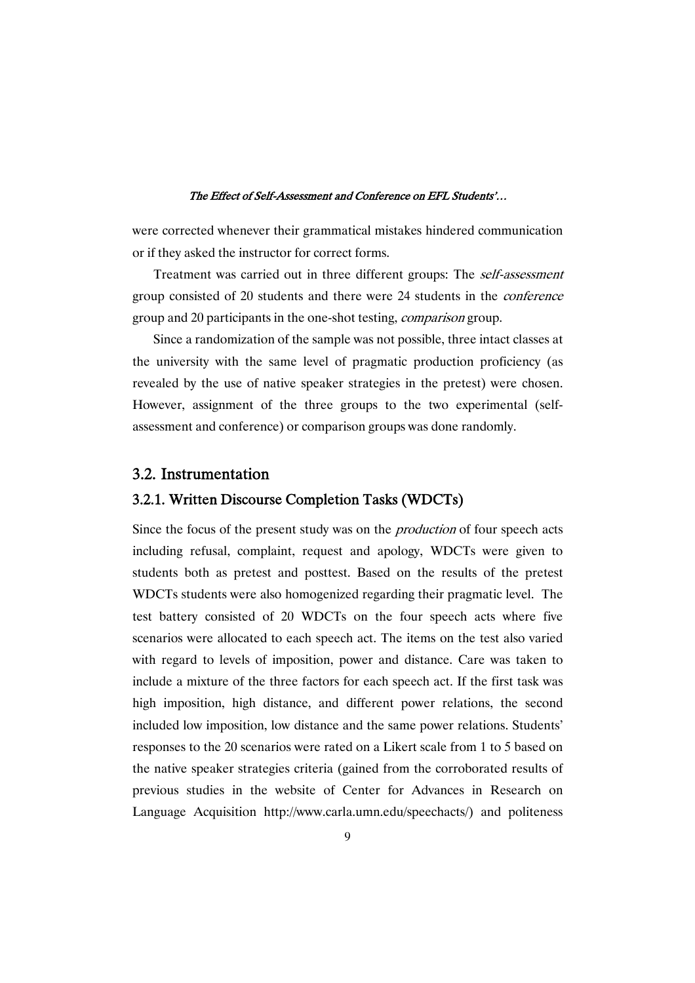were corrected whenever their grammatical mistakes hindered communication or if they asked the instructor for correct forms.

Treatment was carried out in three different groups: The self-assessment group consisted of 20 students and there were 24 students in the conference group and 20 participants in the one-shot testing, *comparison* group.

Since a randomization of the sample was not possible, three intact classes at the university with the same level of pragmatic production proficiency (as revealed by the use of native speaker strategies in the pretest) were chosen. However, assignment of the three groups to the two experimental (selfassessment and conference) or comparison groups was done randomly.

### 3.2. Instrumentation

### 3.2.1. Written Discourse Completion Tasks (WDCTs)

Since the focus of the present study was on the *production* of four speech acts including refusal, complaint, request and apology, WDCTs were given to students both as pretest and posttest. Based on the results of the pretest WDCTs students were also homogenized regarding their pragmatic level. The test battery consisted of 20 WDCTs on the four speech acts where five scenarios were allocated to each speech act. The items on the test also varied with regard to levels of imposition, power and distance. Care was taken to include a mixture of the three factors for each speech act. If the first task was high imposition, high distance, and different power relations, the second included low imposition, low distance and the same power relations. Students' responses to the 20 scenarios were rated on a Likert scale from 1 to 5 based on the native speaker strategies criteria (gained from the corroborated results of previous studies in the website of Center for Advances in Research on Language Acquisition http://www.carla.umn.edu/speechacts/) and politeness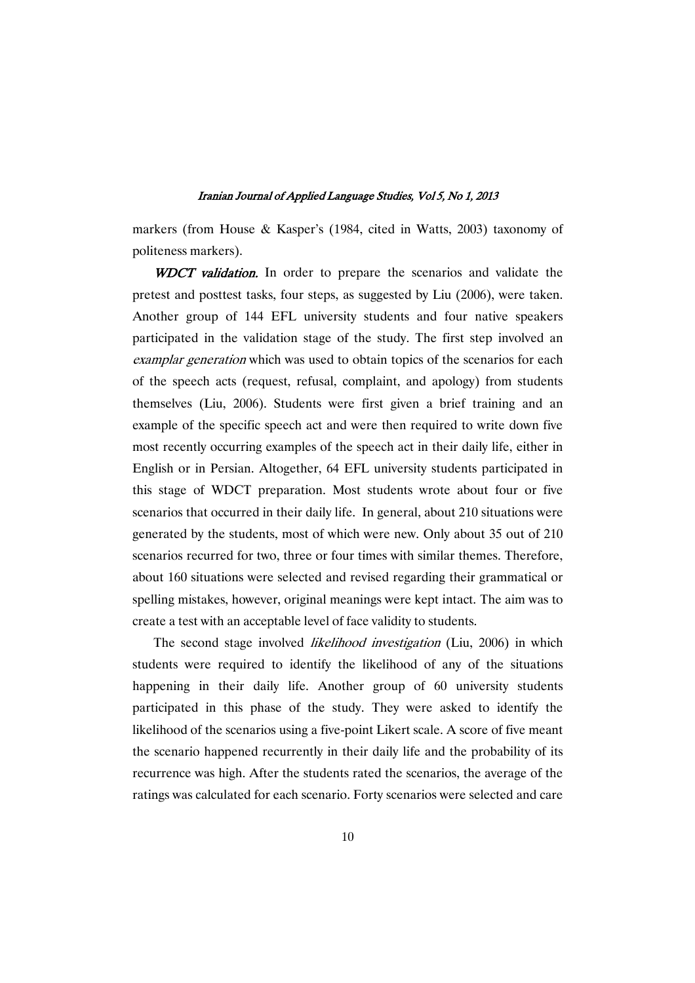markers (from House & Kasper's (1984, cited in Watts, 2003) taxonomy of politeness markers).

WDCT validation. In order to prepare the scenarios and validate the pretest and posttest tasks, four steps, as suggested by Liu (2006), were taken. Another group of 144 EFL university students and four native speakers participated in the validation stage of the study. The first step involved an examplar generation which was used to obtain topics of the scenarios for each of the speech acts (request, refusal, complaint, and apology) from students themselves (Liu, 2006). Students were first given a brief training and an example of the specific speech act and were then required to write down five most recently occurring examples of the speech act in their daily life, either in English or in Persian. Altogether, 64 EFL university students participated in this stage of WDCT preparation. Most students wrote about four or five scenarios that occurred in their daily life. In general, about 210 situations were generated by the students, most of which were new. Only about 35 out of 210 scenarios recurred for two, three or four times with similar themes. Therefore, about 160 situations were selected and revised regarding their grammatical or spelling mistakes, however, original meanings were kept intact. The aim was to create a test with an acceptable level of face validity to students.

The second stage involved likelihood investigation (Liu, 2006) in which students were required to identify the likelihood of any of the situations happening in their daily life. Another group of 60 university students participated in this phase of the study. They were asked to identify the likelihood of the scenarios using a five-point Likert scale. A score of five meant the scenario happened recurrently in their daily life and the probability of its recurrence was high. After the students rated the scenarios, the average of the ratings was calculated for each scenario. Forty scenarios were selected and care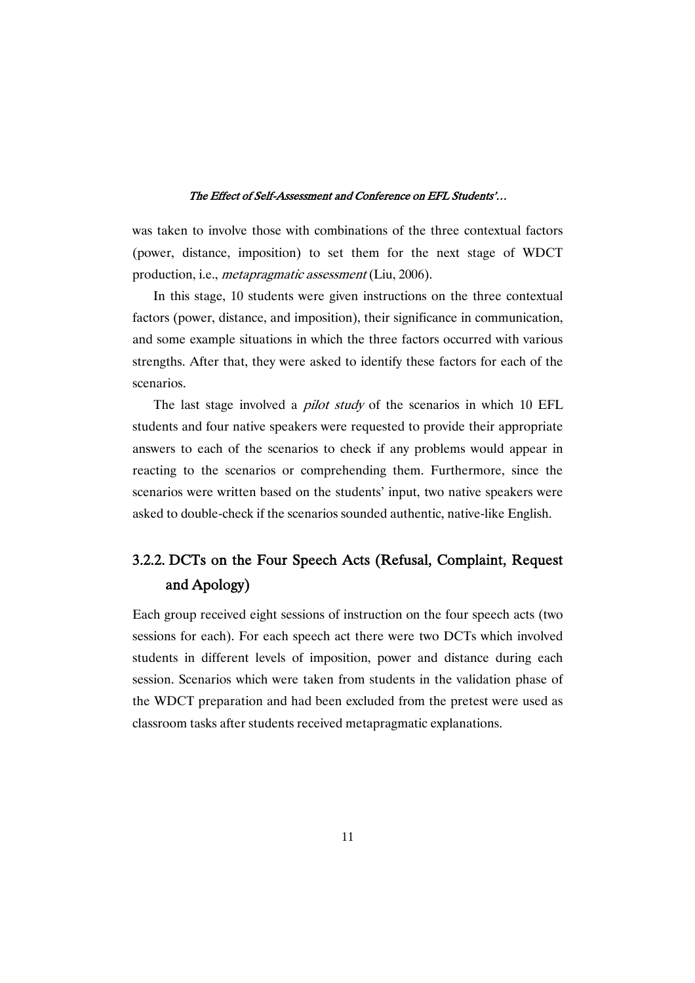was taken to involve those with combinations of the three contextual factors (power, distance, imposition) to set them for the next stage of WDCT production, i.e., metapragmatic assessment (Liu, 2006).

In this stage, 10 students were given instructions on the three contextual factors (power, distance, and imposition), their significance in communication, and some example situations in which the three factors occurred with various strengths. After that, they were asked to identify these factors for each of the scenarios.

The last stage involved a *pilot study* of the scenarios in which 10 EFL students and four native speakers were requested to provide their appropriate answers to each of the scenarios to check if any problems would appear in reacting to the scenarios or comprehending them. Furthermore, since the scenarios were written based on the students' input, two native speakers were asked to double-check if the scenarios sounded authentic, native-like English.

# 3.2.2. DCTs on the Four Speech Acts (Refusal, Complaint, Request and Apology)

Each group received eight sessions of instruction on the four speech acts (two sessions for each). For each speech act there were two DCTs which involved students in different levels of imposition, power and distance during each session. Scenarios which were taken from students in the validation phase of the WDCT preparation and had been excluded from the pretest were used as classroom tasks after students received metapragmatic explanations.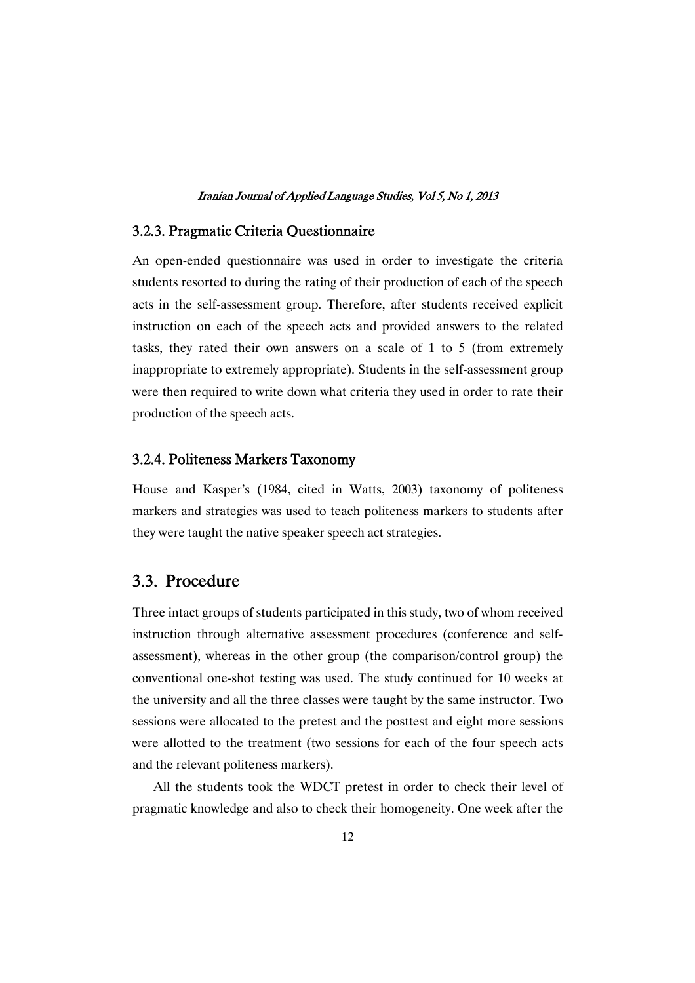### 3.2.3. PragmaticCriteriaQuestionnaire

An open-ended questionnaire was used in order to investigate the criteria students resorted to during the rating of their production of each of the speech acts in the self-assessment group. Therefore, after students received explicit instruction on each of the speech acts and provided answers to the related tasks, they rated their own answers on a scale of 1 to 5 (from extremely inappropriate to extremely appropriate). Students in the self-assessment group were then required to write down what criteria they used in order to rate their production of the speech acts.

### 3.2.4. Politeness Markers Taxonomy

House and Kasper's (1984, cited in Watts, 2003) taxonomy of politeness markers and strategies was used to teach politeness markers to students after they were taught the native speaker speech act strategies.

### 3.3. Procedure

Three intact groups of students participated in this study, two of whom received instruction through alternative assessment procedures (conference and selfassessment), whereas in the other group (the comparison/control group) the conventional one-shot testing was used. The study continued for 10 weeks at the university and all the three classes were taught by the same instructor. Two sessions were allocated to the pretest and the posttest and eight more sessions were allotted to the treatment (two sessions for each of the four speech acts and the relevant politeness markers).

All the students took the WDCT pretest in order to check their level of pragmatic knowledge and also to check their homogeneity. One week after the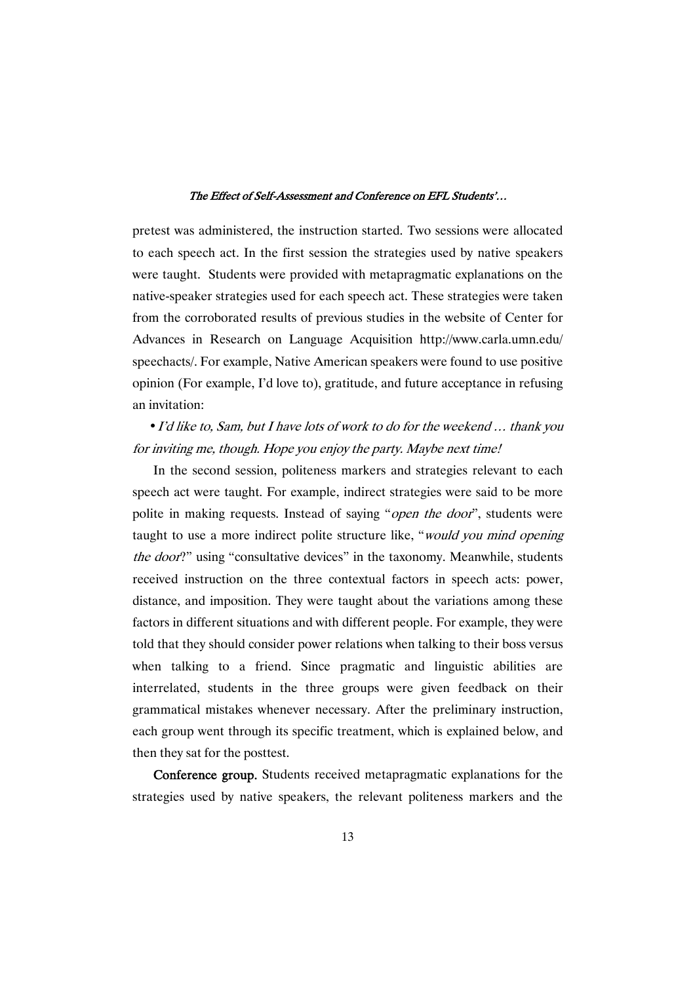pretest was administered, the instruction started. Two sessions were allocated to each speech act. In the first session the strategies used by native speakers were taught. Students were provided with metapragmatic explanations on the native-speaker strategies used for each speech act. These strategies were taken from the corroborated results of previous studies in the website of Center for Advances in Research on Language Acquisition http://www.carla.umn.edu/ speechacts/. For example, Native American speakers were found to use positive opinion (For example, I'd love to), gratitude, and future acceptance in refusing an invitation:

• I'd like to, Sam, but I have lots of work to do for the weekend ... thank you for inviting me, though. Hope you enjoy the party. Maybe next time!

In the second session, politeness markers and strategies relevant to each speech act were taught. For example, indirect strategies were said to be more polite in making requests. Instead of saying "*open the door*", students were taught to use a more indirect polite structure like, "would you mind opening the door?" using "consultative devices" in the taxonomy. Meanwhile, students received instruction on the three contextual factors in speech acts: power, distance, and imposition. They were taught about the variations among these factors in different situations and with different people. For example, they were told that they should consider power relations when talking to their boss versus when talking to a friend. Since pragmatic and linguistic abilities are interrelated, students in the three groups were given feedback on their grammatical mistakes whenever necessary. After the preliminary instruction, each group went through its specific treatment, which is explained below, and then they sat for the posttest.

Conference group. Students received metapragmatic explanations for the strategies used by native speakers, the relevant politeness markers and the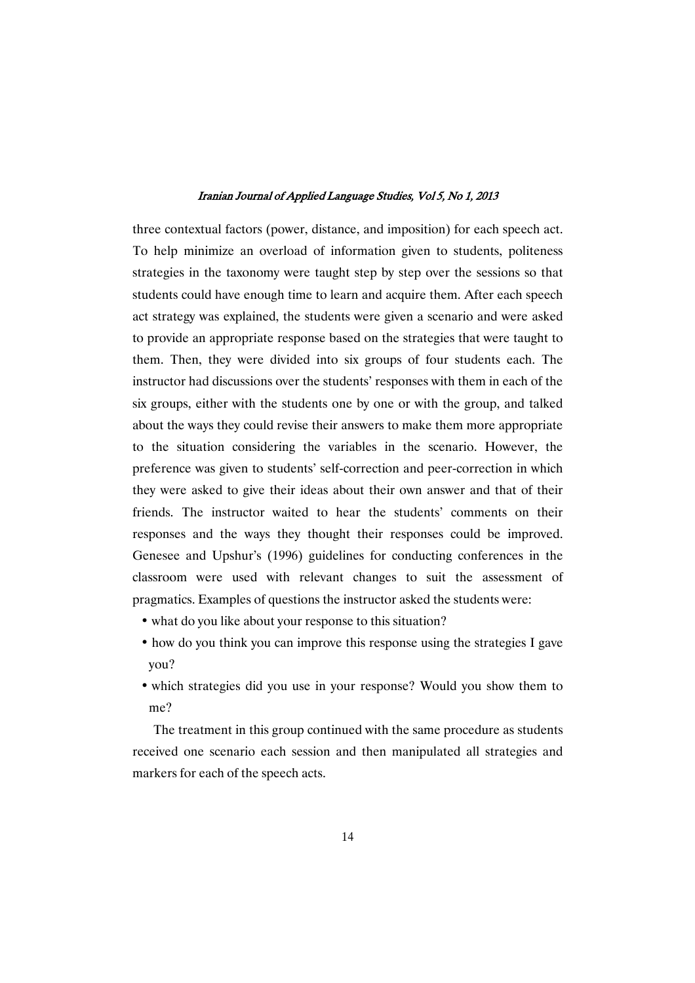three contextual factors (power, distance, and imposition) for each speech act. To help minimize an overload of information given to students, politeness strategies in the taxonomy were taught step by step over the sessions so that students could have enough time to learn and acquire them. After each speech act strategy was explained, the students were given a scenario and were asked to provide an appropriate response based on the strategies that were taught to them. Then, they were divided into six groups of four students each. The instructor had discussions over the students' responses with them in each of the six groups, either with the students one by one or with the group, and talked about the ways they could revise their answers to make them more appropriate to the situation considering the variables in the scenario. However, the preference was given to students' self-correction and peer-correction in which they were asked to give their ideas about their own answer and that of their friends. The instructor waited to hear the students' comments on their responses and the ways they thought their responses could be improved. Genesee and Upshur's (1996) guidelines for conducting conferences in the classroom were used with relevant changes to suit the assessment of pragmatics. Examples of questions the instructor asked the students were:

- what do you like about your response to this situation?
- how do you think you can improve this response using the strategies I gave you?
- which strategies did you use in your response? Would you show them to me?

The treatment in this group continued with the same procedure as students received one scenario each session and then manipulated all strategies and markers for each of the speech acts.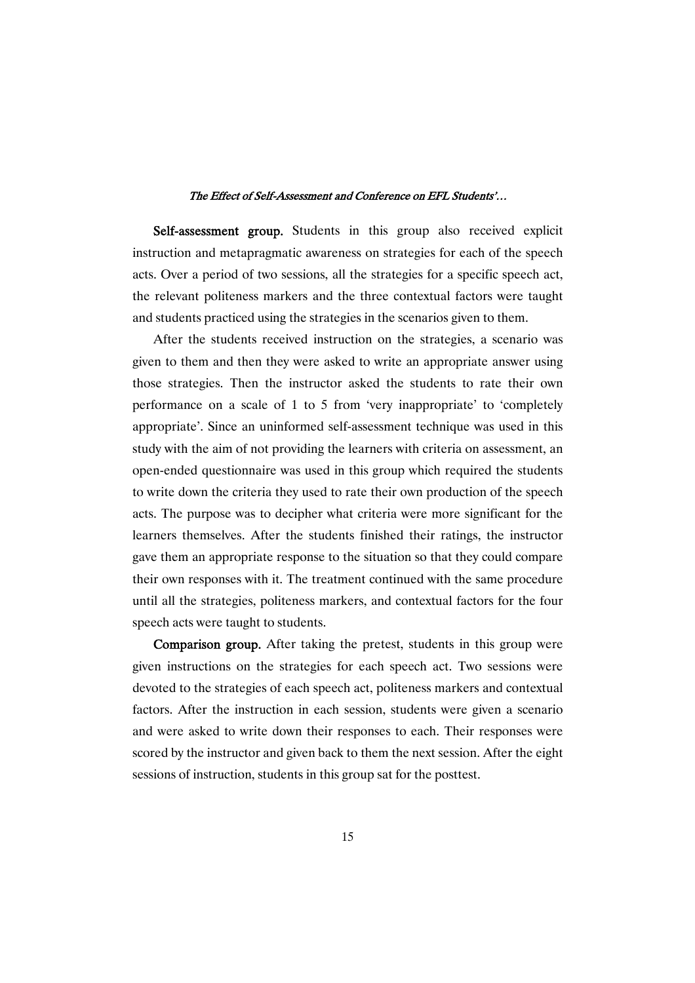Self-assessment group. Students in this group also received explicit instruction and metapragmatic awareness on strategies for each of the speech acts. Over a period of two sessions, all the strategies for a specific speech act, the relevant politeness markers and the three contextual factors were taught and students practiced using the strategies in the scenarios given to them.

After the students received instruction on the strategies, a scenario was given to them and then they were asked to write an appropriate answer using those strategies. Then the instructor asked the students to rate their own performance on a scale of 1 to 5 from 'very inappropriate' to 'completely appropriate'. Since an uninformed self-assessment technique was used in this study with the aim of not providing the learners with criteria on assessment, an open-ended questionnaire was used in this group which required the students to write down the criteria they used to rate their own production of the speech acts. The purpose was to decipher what criteria were more significant for the learners themselves. After the students finished their ratings, the instructor gave them an appropriate response to the situation so that they could compare their own responses with it. The treatment continued with the same procedure until all the strategies, politeness markers, and contextual factors for the four speech acts were taught to students.

Comparison group. After taking the pretest, students in this group were given instructions on the strategies for each speech act. Two sessions were devoted to the strategies of each speech act, politeness markers and contextual factors. After the instruction in each session, students were given a scenario and were asked to write down their responses to each. Their responses were scored by the instructor and given back to them the next session. After the eight sessions of instruction, students in this group sat for the posttest.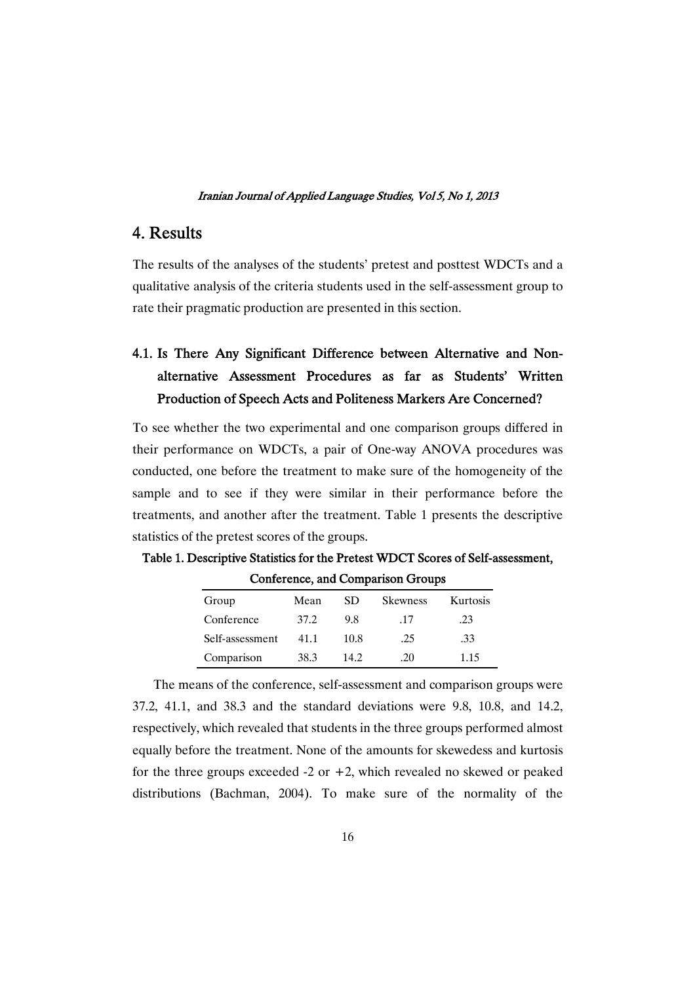### 4. Results

The results of the analyses of the students' pretest and posttest WDCTs and a qualitative analysis of the criteria students used in the self-assessment group to rate their pragmatic production are presented in this section.

# 4.1. Is There Any Significant Difference between Alternative and Nonalternative Assessment Procedures as far as Students' Written Production of Speech Acts and Politeness Markers Are Concerned?

To see whether the two experimental and one comparison groups differed in their performance on WDCTs, a pair of One-way ANOVA procedures was conducted, one before the treatment to make sure of the homogeneity of the sample and to see if they were similar in their performance before the treatments, and another after the treatment. Table 1 presents the descriptive statistics of the pretest scores of the groups.

| Group           | Mean | SD   | <b>Skewness</b> | Kurtosis |
|-----------------|------|------|-----------------|----------|
| Conference      | 37.2 | 98   | -17             | .23      |
| Self-assessment | 411  | 10.8 | .25             | .33      |
| Comparison      | 38.3 | 14.2 | .20             | 1 1 5    |

Table 1. Descriptive Statistics for the Pretest WDCT Scores of Self-assessment, Conference, and Comparison Groups

The means of the conference, self-assessment and comparison groups were 37.2, 41.1, and 38.3 and the standard deviations were 9.8, 10.8, and 14.2, respectively, which revealed that students in the three groups performed almost equally before the treatment. None of the amounts for skewedess and kurtosis for the three groups exceeded  $-2$  or  $+2$ , which revealed no skewed or peaked distributions (Bachman, 2004). To make sure of the normality of the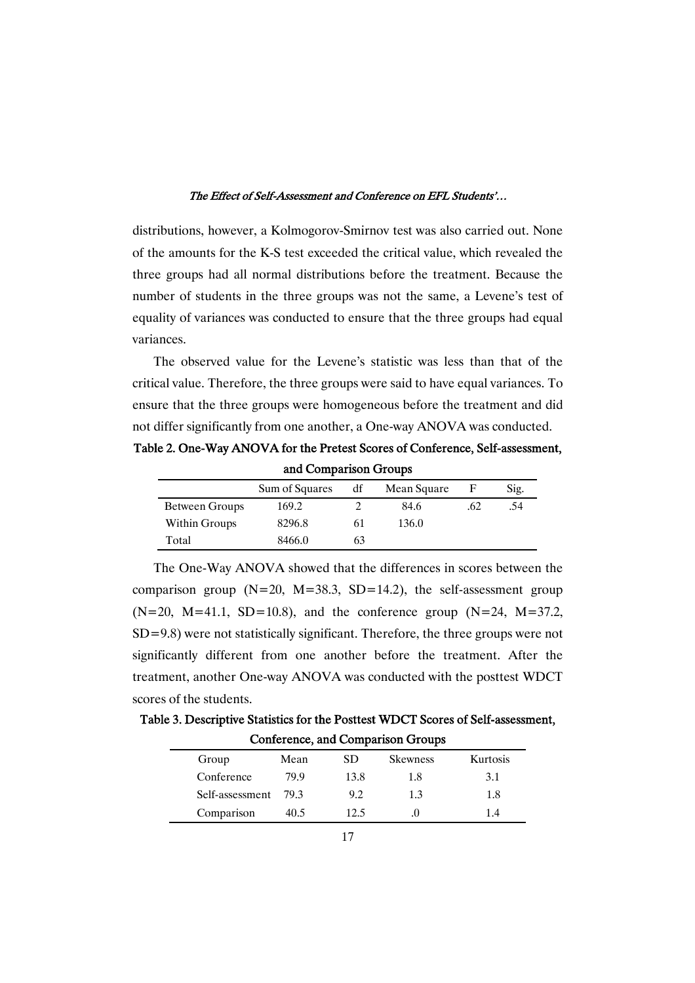distributions, however, a Kolmogorov-Smirnov test was also carried out. None of the amounts for the K-S test exceeded the critical value, which revealed the three groups had all normal distributions before the treatment. Because the number of students in the three groups was not the same, a Levene's test of equality of variances was conducted to ensure that the three groups had equal variances.

The observed value for the Levene's statistic was less than that of the critical value. Therefore, the three groups were said to have equal variances. To ensure that the three groups were homogeneous before the treatment and did not differ significantly from one another, a One-way ANOVA was conducted.

Table 2. One-Way ANOVA for the Pretest Scores of Conference, Self-assessment, and Comparison Groups

|                | Sum of Squares | df | Mean Square |     | Sig. |
|----------------|----------------|----|-------------|-----|------|
| Between Groups | 169.2          |    | 84.6        | .62 | .54  |
| Within Groups  | 8296.8         | 61 | 136.0       |     |      |
| Total          | 8466.0         | 63 |             |     |      |

The One-Way ANOVA showed that the differences in scores between the comparison group  $(N=20, M=38.3, SD=14.2)$ , the self-assessment group  $(N=20, M=41.1, SD=10.8)$ , and the conference group  $(N=24, M=37.2, M=41.1)$ SD=9.8) were not statistically significant. Therefore, the three groups were not significantly different from one another before the treatment. After the treatment, another One-way ANOVA was conducted with the posttest WDCT scores of the students.

Table 3. Descriptive Statistics for the Posttest WDCT Scores of Self-assessment, Conference, and Comparison Groups

| Group           | Mean   | SD.  | <b>Skewness</b> | Kurtosis |
|-----------------|--------|------|-----------------|----------|
| Conference      | 79.9   | 13.8 | 1.8             | 3.1      |
| Self-assessment | - 79.3 | 9.2  | 1.3             | 1.8      |
| Comparison      | 40.5   | 12.5 | .0              | 14       |
|                 |        |      |                 |          |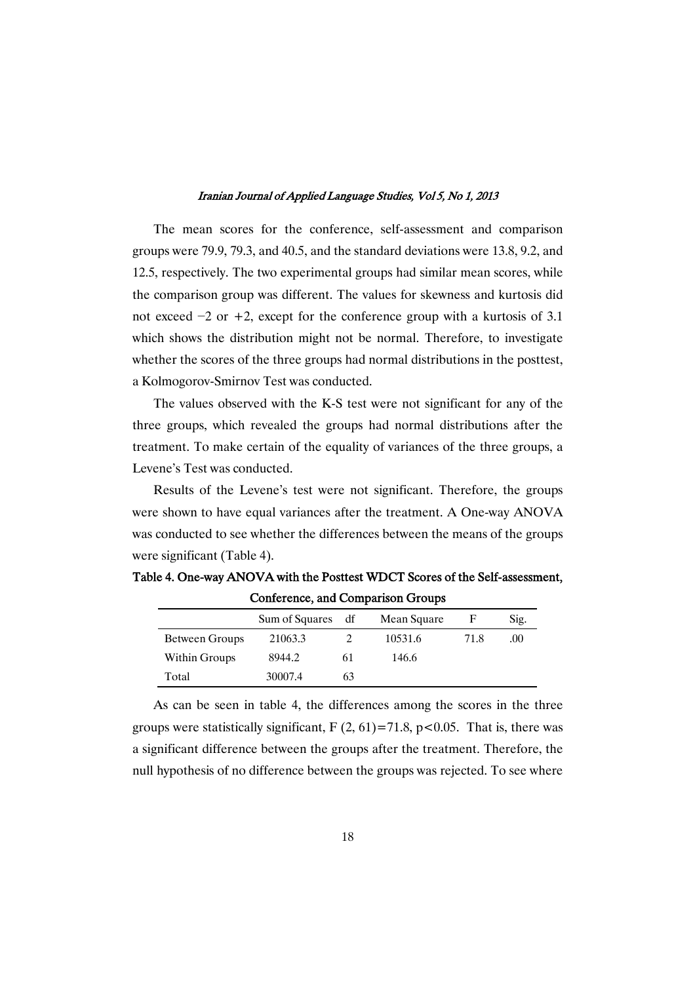The mean scores for the conference, self-assessment and comparison groups were 79.9, 79.3, and 40.5, and the standard deviations were 13.8, 9.2, and 12.5, respectively. The two experimental groups had similar mean scores, while the comparison group was different. The values for skewness and kurtosis did not exceed  $-2$  or  $+2$ , except for the conference group with a kurtosis of 3.1 which shows the distribution might not be normal. Therefore, to investigate whether the scores of the three groups had normal distributions in the posttest, a Kolmogorov-Smirnov Test was conducted.

The values observed with the K-S test were not significant for any of the three groups, which revealed the groups had normal distributions after the treatment. To make certain of the equality of variances of the three groups, a Levene's Test was conducted.

Results of the Levene's test were not significant. Therefore, the groups were shown to have equal variances after the treatment. A One-way ANOVA was conducted to see whether the differences between the means of the groups were significant (Table 4).

| Comerence, and Comparison Groups |                   |    |             |      |      |
|----------------------------------|-------------------|----|-------------|------|------|
|                                  | Sum of Squares df |    | Mean Square |      | Sig. |
| Between Groups                   | 21063.3           |    | 10531.6     | 71.8 | .00  |
| Within Groups                    | 8944.2            | 61 | 146.6       |      |      |
| Total                            | 30007.4           | 63 |             |      |      |

Table 4. One-way ANOVA with the Posttest WDCT Scores of the Self-assessment, Conference,andComparisonGroups

As can be seen in table 4, the differences among the scores in the three groups were statistically significant,  $F(2, 61) = 71.8$ ,  $p < 0.05$ . That is, there was a significant difference between the groups after the treatment. Therefore, the null hypothesis of no difference between the groups was rejected. To see where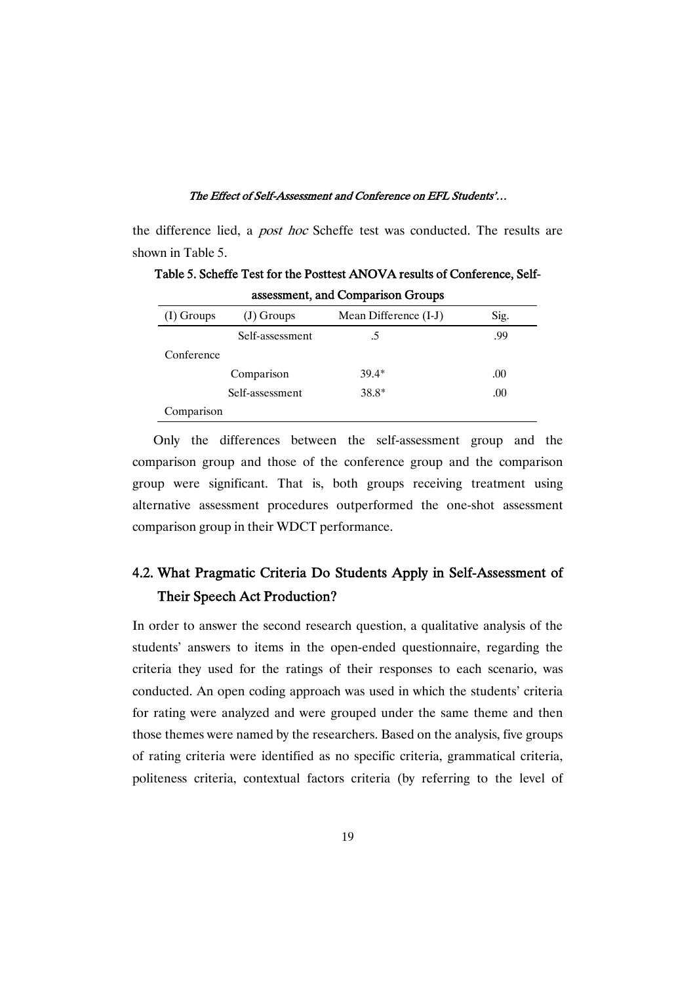the difference lied, a *post hoc* Scheffe test was conducted. The results are shown in Table 5.

| assessment, and comparison Groups |                 |                       |      |  |
|-----------------------------------|-----------------|-----------------------|------|--|
| $(I)$ Groups                      | (J) Groups      | Mean Difference (I-J) | Sig. |  |
|                                   | Self-assessment | .5                    | .99  |  |
| Conference                        |                 |                       |      |  |
|                                   | Comparison      | $39.4*$               | .00. |  |
|                                   | Self-assessment | 38.8*                 | .00  |  |
| Comparison                        |                 |                       |      |  |

Table 5. Scheffe Test for the Posttest ANOVA results of Conference, Selfassessment, and Comparison Groups

Only the differences between the self-assessment group and the comparison group and those of the conference group and the comparison group were significant. That is, both groups receiving treatment using alternative assessment procedures outperformed the one-shot assessment comparison group in their WDCT performance.

# 4.2. What Pragmatic Criteria Do Students Apply in Self-Assessment of Their Speech Act Production?

In order to answer the second research question, a qualitative analysis of the students' answers to items in the open-ended questionnaire, regarding the criteria they used for the ratings of their responses to each scenario, was conducted. An open coding approach was used in which the students' criteria for rating were analyzed and were grouped under the same theme and then those themes were named by the researchers. Based on the analysis, five groups of rating criteria were identified as no specific criteria, grammatical criteria, politeness criteria, contextual factors criteria (by referring to the level of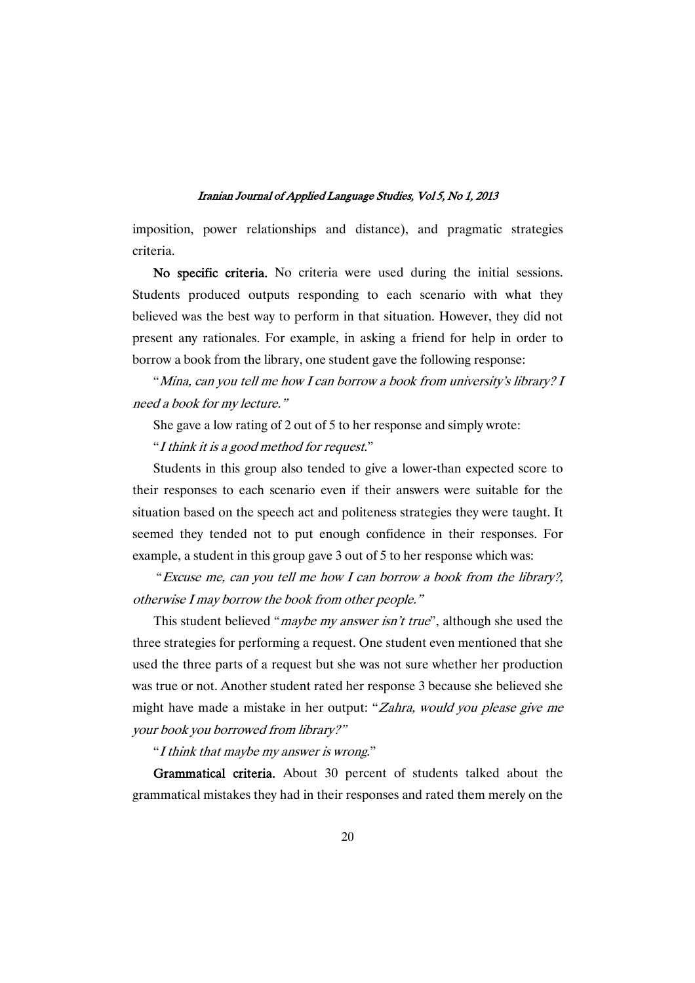imposition, power relationships and distance), and pragmatic strategies criteria.

No specific criteria. No criteria were used during the initial sessions. Students produced outputs responding to each scenario with what they believed was the best way to perform in that situation. However, they did not present any rationales. For example, in asking a friend for help in order to borrow a book from the library, one student gave the following response:

"Mina, can you tell me how <sup>I</sup> can borrow <sup>a</sup> book from university's library? <sup>I</sup> need <sup>a</sup> book for my lecture."

She gave a low rating of 2 out of 5 to her response and simply wrote:

"<sup>I</sup> think it is <sup>a</sup> good method for request."

Students in this group also tended to give a lower-than expected score to their responses to each scenario even if their answers were suitable for the situation based on the speech act and politeness strategies they were taught. It seemed they tended not to put enough confidence in their responses. For example, a student in this group gave 3 out of 5 to her response which was:

"Excuse me, can you tell me how <sup>I</sup> can borrow <sup>a</sup> book from the library?, otherwise I may borrow the book from other people."

This student believed "*maybe my answer isn't true*", although she used the three strategies for performing a request. One student even mentioned that she used the three parts of a request but she was not sure whether her production was true or not. Another student rated her response 3 because she believed she might have made a mistake in her output: "Zahra, would you please give me your book you borrowed from library?"

"<sup>I</sup> think that maybe my answer is wrong."

Grammatical criteria. About 30 percent of students talked about the grammatical mistakes they had in their responses and rated them merely on the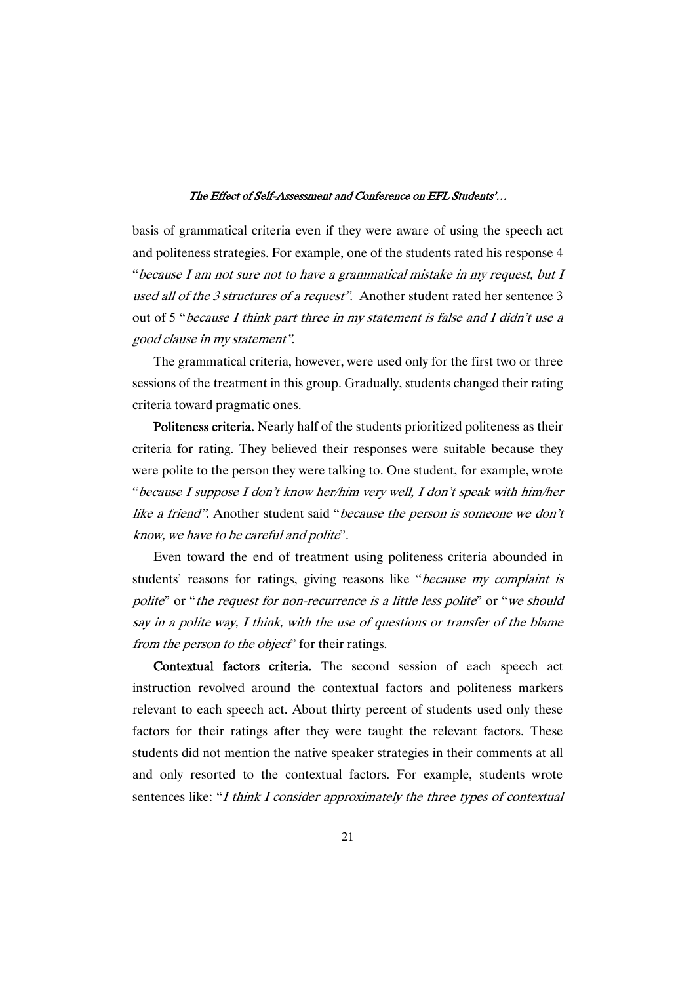basis of grammatical criteria even if they were aware of using the speech act and politeness strategies. For example, one of the students rated his response 4 "because <sup>I</sup> am not sure not to have <sup>a</sup> grammatical mistake in my request, but <sup>I</sup> used all of the <sup>3</sup> structures of <sup>a</sup> request". Another student rated her sentence 3 out of 5 "because <sup>I</sup> think part three in my statement is false and <sup>I</sup> didn't use <sup>a</sup> good clause in my statement".

The grammatical criteria, however, were used only for the first two or three sessions of the treatment in this group. Gradually, students changed their rating criteria toward pragmatic ones.

Politeness criteria. Nearly half of the students prioritized politeness as their criteria for rating. They believed their responses were suitable because they were polite to the person they were talking to. One student, for example, wrote "because <sup>I</sup> suppose <sup>I</sup> don't know her/him very well, <sup>I</sup> don't speak with him/her like a friend". Another student said "*because the person is someone we don't* know, we have to be careful and polite".

Even toward the end of treatment using politeness criteria abounded in students' reasons for ratings, giving reasons like "because my complaint is polite" or "the request for non-recurrence is a little less polite" or "we should say in <sup>a</sup> polite way, I think, with the use of questions or transfer of the blame from the person to the object" for their ratings.

Contextual factors criteria. The second session of each speech act instruction revolved around the contextual factors and politeness markers relevant to each speech act. About thirty percent of students used only these factors for their ratings after they were taught the relevant factors. These students did not mention the native speaker strategies in their comments at all and only resorted to the contextual factors. For example, students wrote sentences like: "I think I consider approximately the three types of contextual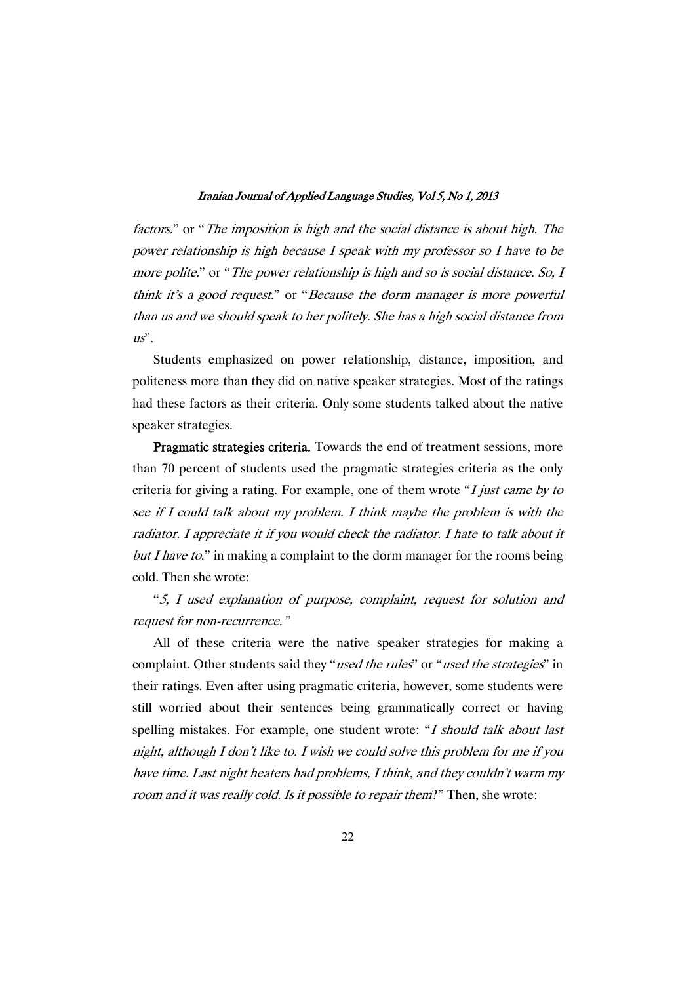factors." or "The imposition is high and the social distance is about high. The power relationship is high because I speak with my professor so I have to be more polite." or "The power relationship is high and so is social distance. So, I think it's <sup>a</sup> good request." or "Because the dorm manager is more powerful than us and we should speak to her politely. She has <sup>a</sup> high social distance from  $u\ddot{s}$ 

Students emphasized on power relationship, distance, imposition, and politeness more than they did on native speaker strategies. Most of the ratings had these factors as their criteria. Only some students talked about the native speaker strategies.

Pragmatic strategies criteria. Towards the end of treatment sessions, more than 70 percent of students used the pragmatic strategies criteria as the only criteria for giving a rating. For example, one of them wrote " $I$  just came by to see if I could talk about my problem. I think maybe the problem is with the radiator. I appreciate it if you would check the radiator. I hate to talk about it but I have to." in making a complaint to the dorm manager for the rooms being cold. Then she wrote:

"5, <sup>I</sup> used explanation of purpose, complaint, request for solution and request for non-recurrence."

All of these criteria were the native speaker strategies for making a complaint. Other students said they "used the rules" or "used the strategies" in their ratings. Even after using pragmatic criteria, however, some students were still worried about their sentences being grammatically correct or having spelling mistakes. For example, one student wrote: "I should talk about last night, although I don't like to. I wish we could solve this problem for me if you have time. Last night heaters had problems, I think, and they couldn't warm my room and it was really cold. Is it possible to repair them?" Then, she wrote: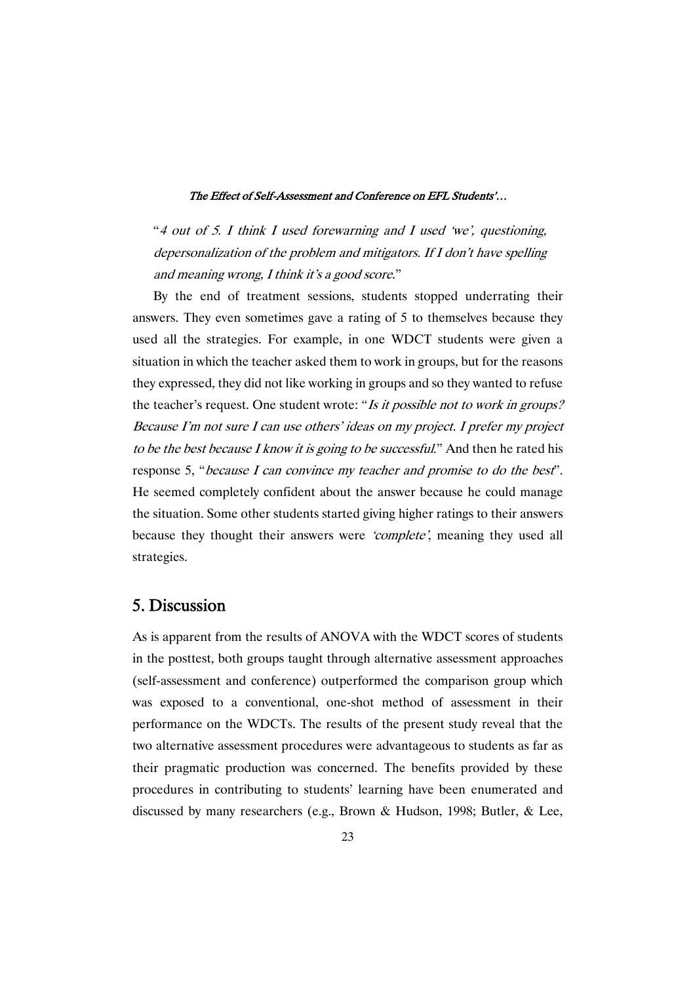"<sup>4</sup> out of 5. <sup>I</sup> think <sup>I</sup> used forewarning and <sup>I</sup> used 'we', questioning, depersonalization of the problem and mitigators. If I don't have spelling and meaning wrong, <sup>I</sup> think it's <sup>a</sup> good score."

By the end of treatment sessions, students stopped underrating their answers. They even sometimes gave a rating of 5 to themselves because they used all the strategies. For example, in one WDCT students were given a situation in which the teacher asked them to work in groups, but for the reasons they expressed, they did not like working in groups and so they wanted to refuse the teacher's request. One student wrote: "Is it possible not to work in groups? Because I'm not sure I can use others' ideas on my project. I prefer my project to be the best because <sup>I</sup> know it is going to be successful." And then he rated his response 5, "because <sup>I</sup> can convince my teacher and promise to do the best". He seemed completely confident about the answer because he could manage the situation. Some other students started giving higher ratings to their answers because they thought their answers were 'complete', meaning they used all strategies.

### 5. Discussion

As is apparent from the results of ANOVA with the WDCT scores of students in the posttest, both groups taught through alternative assessment approaches (self-assessment and conference) outperformed the comparison group which was exposed to a conventional, one-shot method of assessment in their performance on the WDCTs. The results of the present study reveal that the two alternative assessment procedures were advantageous to students as far as their pragmatic production was concerned. The benefits provided by these procedures in contributing to students' learning have been enumerated and discussed by many researchers (e.g., Brown & Hudson, 1998; Butler, & Lee,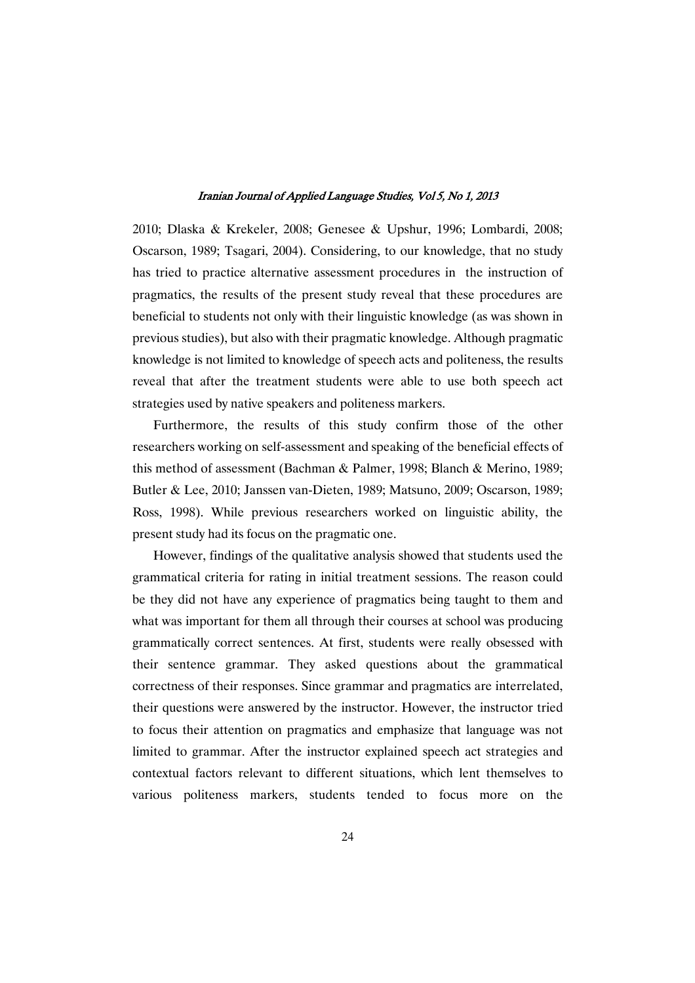2010; Dlaska & Krekeler, 2008; Genesee & Upshur, 1996; Lombardi, 2008; Oscarson, 1989; Tsagari, 2004). Considering, to our knowledge, that no study has tried to practice alternative assessment procedures in the instruction of pragmatics, the results of the present study reveal that these procedures are beneficial to students not only with their linguistic knowledge (as was shown in previous studies), but also with their pragmatic knowledge. Although pragmatic knowledge is not limited to knowledge of speech acts and politeness, the results reveal that after the treatment students were able to use both speech act strategies used by native speakers and politeness markers.

Furthermore, the results of this study confirm those of the other researchers working on self-assessment and speaking of the beneficial effects of this method of assessment (Bachman & Palmer, 1998; Blanch & Merino, 1989; Butler & Lee, 2010; Janssen van-Dieten, 1989; Matsuno, 2009; Oscarson, 1989; Ross, 1998). While previous researchers worked on linguistic ability, the present study had its focus on the pragmatic one.

However, findings of the qualitative analysis showed that students used the grammatical criteria for rating in initial treatment sessions. The reason could be they did not have any experience of pragmatics being taught to them and what was important for them all through their courses at school was producing grammatically correct sentences. At first, students were really obsessed with their sentence grammar. They asked questions about the grammatical correctness of their responses. Since grammar and pragmatics are interrelated, their questions were answered by the instructor. However, the instructor tried to focus their attention on pragmatics and emphasize that language was not limited to grammar. After the instructor explained speech act strategies and contextual factors relevant to different situations, which lent themselves to various politeness markers, students tended to focus more on the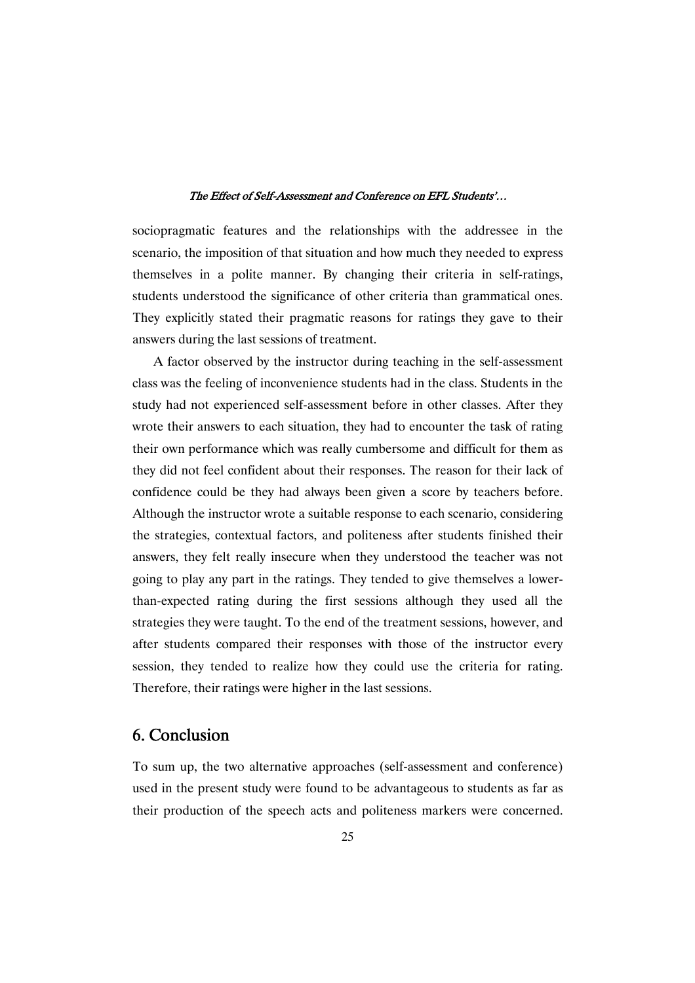sociopragmatic features and the relationships with the addressee in the scenario, the imposition of that situation and how much they needed to express themselves in a polite manner. By changing their criteria in self-ratings, students understood the significance of other criteria than grammatical ones. They explicitly stated their pragmatic reasons for ratings they gave to their answers during the last sessions of treatment.

A factor observed by the instructor during teaching in the self-assessment class was the feeling of inconvenience students had in the class. Students in the study had not experienced self-assessment before in other classes. After they wrote their answers to each situation, they had to encounter the task of rating their own performance which was really cumbersome and difficult for them as they did not feel confident about their responses. The reason for their lack of confidence could be they had always been given a score by teachers before. Although the instructor wrote a suitable response to each scenario, considering the strategies, contextual factors, and politeness after students finished their answers, they felt really insecure when they understood the teacher was not going to play any part in the ratings. They tended to give themselves a lowerthan-expected rating during the first sessions although they used all the strategies they were taught. To the end of the treatment sessions, however, and after students compared their responses with those of the instructor every session, they tended to realize how they could use the criteria for rating. Therefore, their ratings were higher in the last sessions.

## 6. Conclusion

To sum up, the two alternative approaches (self-assessment and conference) used in the present study were found to be advantageous to students as far as their production of the speech acts and politeness markers were concerned.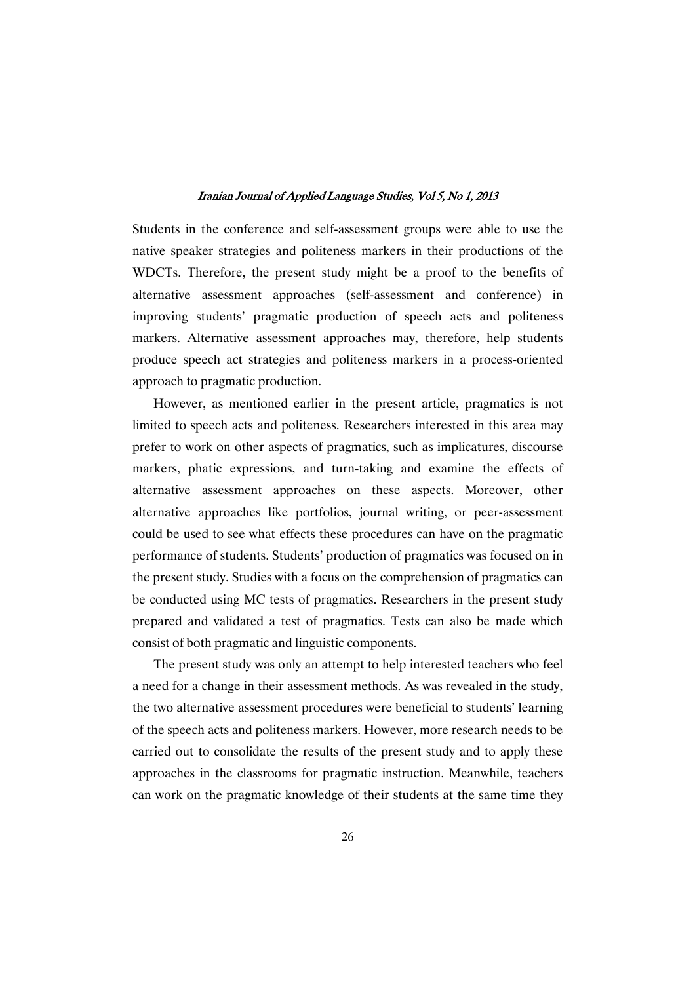Students in the conference and self-assessment groups were able to use the native speaker strategies and politeness markers in their productions of the WDCTs. Therefore, the present study might be a proof to the benefits of alternative assessment approaches (self-assessment and conference) in improving students' pragmatic production of speech acts and politeness markers. Alternative assessment approaches may, therefore, help students produce speech act strategies and politeness markers in a process-oriented approach to pragmatic production.

However, as mentioned earlier in the present article, pragmatics is not limited to speech acts and politeness. Researchers interested in this area may prefer to work on other aspects of pragmatics, such as implicatures, discourse markers, phatic expressions, and turn-taking and examine the effects of alternative assessment approaches on these aspects. Moreover, other alternative approaches like portfolios, journal writing, or peer-assessment could be used to see what effects these procedures can have on the pragmatic performance of students. Students' production of pragmatics was focused on in the present study. Studies with a focus on the comprehension of pragmatics can be conducted using MC tests of pragmatics. Researchers in the present study prepared and validated a test of pragmatics. Tests can also be made which consist of both pragmatic and linguistic components.

The present study was only an attempt to help interested teachers who feel a need for a change in their assessment methods. As was revealed in the study, the two alternative assessment procedures were beneficial to students' learning of the speech acts and politeness markers. However, more research needs to be carried out to consolidate the results of the present study and to apply these approaches in the classrooms for pragmatic instruction. Meanwhile, teachers can work on the pragmatic knowledge of their students at the same time they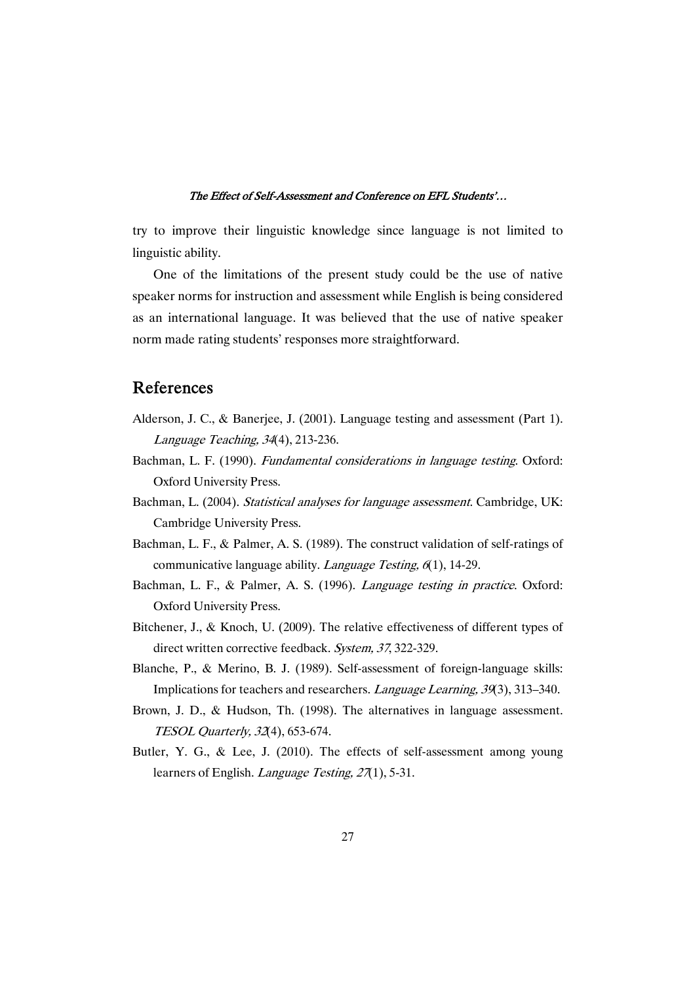try to improve their linguistic knowledge since language is not limited to linguistic ability.

One of the limitations of the present study could be the use of native speaker norms for instruction and assessment while English is being considered as an international language. It was believed that the use of native speaker norm made rating students' responses more straightforward.

### References

- Alderson, J. C., & Banerjee, J. (2001). Language testing and assessment (Part 1). Language Teaching, <sup>34</sup>(4), 213-236.
- Bachman, L. F. (1990). Fundamental considerations in language testing. Oxford: Oxford University Press.
- Bachman, L. (2004). Statistical analyses for language assessment. Cambridge, UK: Cambridge University Press.
- Bachman, L. F., & Palmer, A. S. (1989). The construct validation of self-ratings of communicative language ability. *Language Testing*,  $6(1)$ , 14-29.
- Bachman, L. F., & Palmer, A. S. (1996). Language testing in practice. Oxford: Oxford University Press.
- Bitchener, J., & Knoch, U. (2009). The relative effectiveness of different types of direct written corrective feedback. System, <sup>37</sup>, 322-329.
- Blanche, P., & Merino, B. J. (1989). Self-assessment of foreign-language skills: Implications for teachers and researchers. Language Learning, <sup>39</sup>(3), 313–340.
- Brown, J. D., & Hudson, Th. (1998). The alternatives in language assessment. TESOL Quarterly, <sup>32</sup>(4), 653-674.
- Butler, Y. G., & Lee, J. (2010). The effects of self-assessment among young learners of English. *Language Testing, 27*(1), 5-31.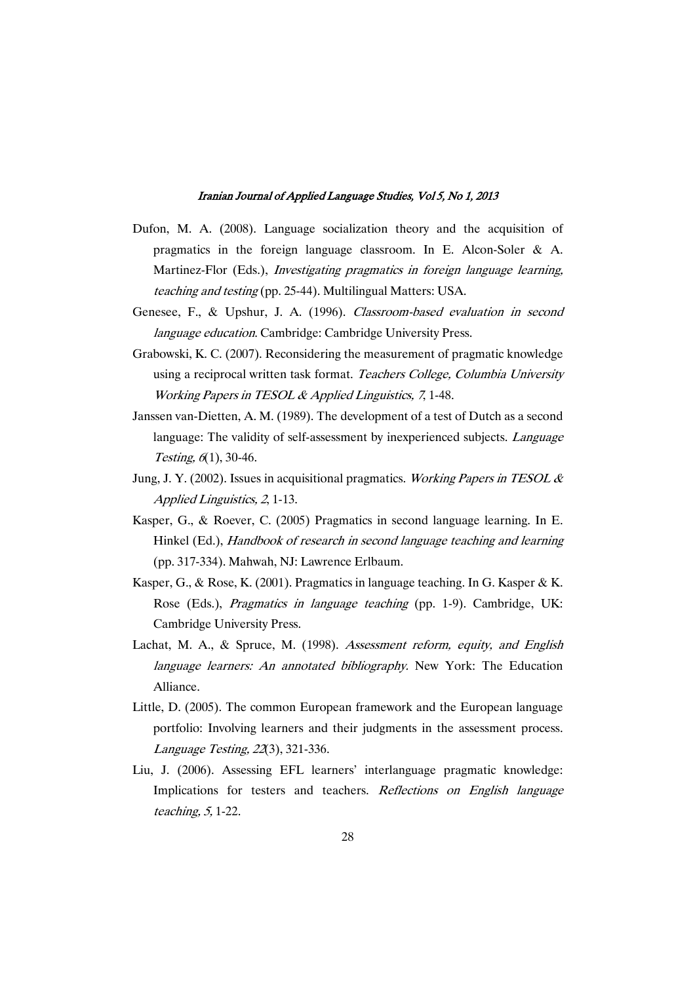- Dufon, M. A. (2008). Language socialization theory and the acquisition of pragmatics in the foreign language classroom. In E. Alcon-Soler & A. Martinez-Flor (Eds.), Investigating pragmatics in foreign language learning, teaching and testing (pp. 25-44). Multilingual Matters: USA.
- Genesee, F., & Upshur, J. A. (1996). Classroom-based evaluation in second language education. Cambridge: Cambridge University Press.
- Grabowski, K. C. (2007). Reconsidering the measurement of pragmatic knowledge using a reciprocal written task format. Teachers College, Columbia University Working Papers in TESOL & Applied Linguistics, <sup>7</sup>, 1-48.
- Janssen van-Dietten, A. M. (1989). The development of a test of Dutch as a second language: The validity of self-assessment by inexperienced subjects. *Language* Testing,  $6(1)$ , 30-46.
- Jung, J. Y. (2002). Issues in acquisitional pragmatics. Working Papers in TESOL  $\&$ Applied Linguistics, <sup>2</sup>, 1-13.
- Kasper, G., & Roever, C. (2005) Pragmatics in second language learning. In E. Hinkel (Ed.), Handbook of research in second language teaching and learning (pp. 317-334). Mahwah, NJ: Lawrence Erlbaum.
- Kasper, G., & Rose, K. (2001). Pragmatics in language teaching. In G. Kasper & K. Rose (Eds.), Pragmatics in language teaching (pp. 1-9). Cambridge, UK: Cambridge University Press.
- Lachat, M. A., & Spruce, M. (1998). Assessment reform, equity, and English language learners: An annotated bibliography. New York: The Education Alliance.
- Little, D. (2005). The common European framework and the European language portfolio: Involving learners and their judgments in the assessment process. Language Testing, <sup>22</sup>(3), 321-336.
- Liu, J. (2006). Assessing EFL learners' interlanguage pragmatic knowledge: Implications for testers and teachers. Reflections on English language teaching, 5, 1-22.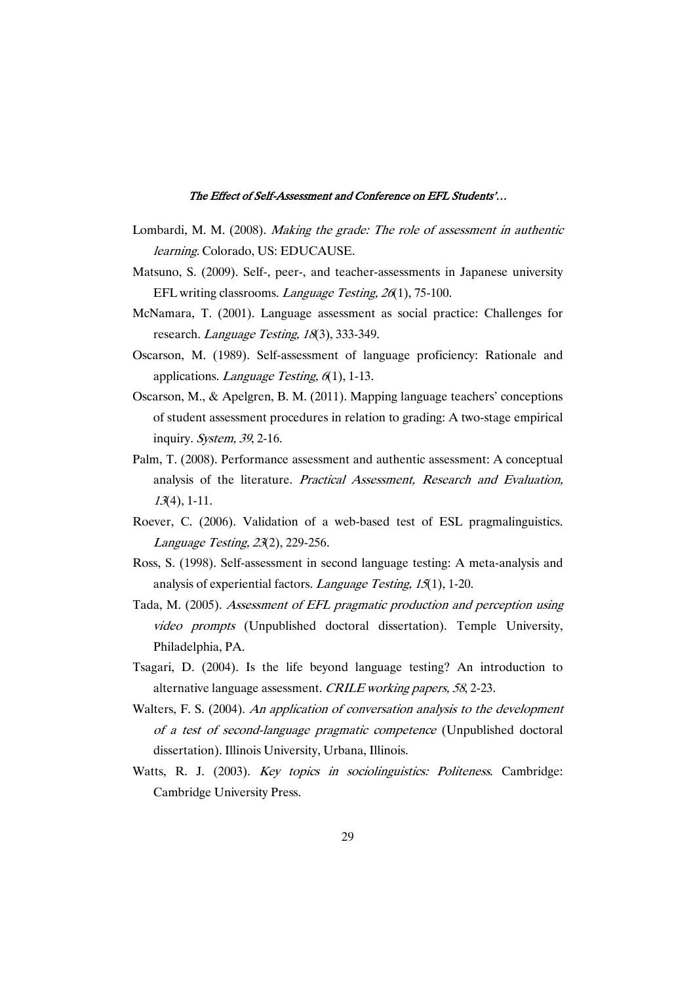- Lombardi, M. M. (2008). Making the grade: The role of assessment in authentic learning. Colorado, US: EDUCAUSE.
- Matsuno, S. (2009). Self-, peer-, and teacher-assessments in Japanese university EFL writing classrooms. *Language Testing, 26*(1), 75-100.
- McNamara, T. (2001). Language assessment as social practice: Challenges for research. Language Testing, 18(3), 333-349.
- Oscarson, M. (1989). Self-assessment of language proficiency: Rationale and applications. *Language Testing*, 6(1), 1-13.
- Oscarson, M., & Apelgren, B. M. (2011). Mapping language teachers' conceptions of student assessment procedures in relation to grading: A two-stage empirical inquiry. System, <sup>39</sup>, 2-16.
- Palm, T. (2008). Performance assessment and authentic assessment: A conceptual analysis of the literature. Practical Assessment, Research and Evaluation, <sup>13</sup>(4), 1-11.
- Roever, C. (2006). Validation of a web-based test of ESL pragmalinguistics. Language Testing, <sup>23</sup>(2), 229-256.
- Ross, S. (1998). Self-assessment in second language testing: A meta-analysis and analysis of experiential factors. Language Testing, <sup>15</sup>(1), 1-20.
- Tada, M. (2005). Assessment of EFL pragmatic production and perception using video prompts (Unpublished doctoral dissertation). Temple University, Philadelphia, PA.
- Tsagari, D. (2004). Is the life beyond language testing? An introduction to alternative language assessment. CRILE working papers, <sup>58</sup>, 2-23.
- Walters, F. S. (2004). An application of conversation analysis to the development of <sup>a</sup> test of second-language pragmatic competence (Unpublished doctoral dissertation). Illinois University, Urbana, Illinois.
- Watts, R. J. (2003). Key topics in sociolinguistics: Politeness. Cambridge: Cambridge University Press.